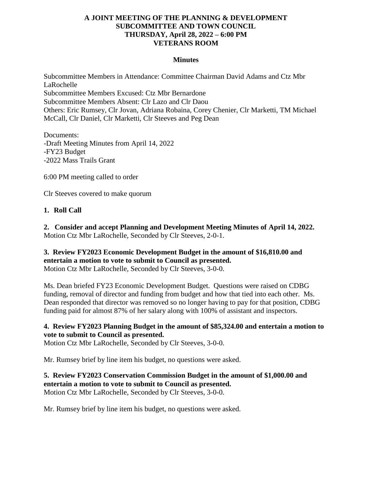## **A JOINT MEETING OF THE PLANNING & DEVELOPMENT SUBCOMMITTEE AND TOWN COUNCIL THURSDAY, April 28, 2022 – 6:00 PM VETERANS ROOM**

#### **Minutes**

Subcommittee Members in Attendance: Committee Chairman David Adams and Ctz Mbr LaRochelle Subcommittee Members Excused: Ctz Mbr Bernardone Subcommittee Members Absent: Clr Lazo and Clr Daou Others: Eric Rumsey, Clr Jovan, Adriana Robaina, Corey Chenier, Clr Marketti, TM Michael McCall, Clr Daniel, Clr Marketti, Clr Steeves and Peg Dean

Documents: -Draft Meeting Minutes from April 14, 2022 -FY23 Budget -2022 Mass Trails Grant

6:00 PM meeting called to order

Clr Steeves covered to make quorum

#### **1. Roll Call**

**2. Consider and accept Planning and Development Meeting Minutes of April 14, 2022.** Motion Ctz Mbr LaRochelle, Seconded by Clr Steeves, 2-0-1.

# **3. Review FY2023 Economic Development Budget in the amount of \$16,810.00 and entertain a motion to vote to submit to Council as presented.**

Motion Ctz Mbr LaRochelle, Seconded by Clr Steeves, 3-0-0.

Ms. Dean briefed FY23 Economic Development Budget. Questions were raised on CDBG funding, removal of director and funding from budget and how that tied into each other. Ms. Dean responded that director was removed so no longer having to pay for that position, CDBG funding paid for almost 87% of her salary along with 100% of assistant and inspectors.

## **4. Review FY2023 Planning Budget in the amount of \$85,324.00 and entertain a motion to vote to submit to Council as presented.**

Motion Ctz Mbr LaRochelle, Seconded by Clr Steeves, 3-0-0.

Mr. Rumsey brief by line item his budget, no questions were asked.

#### **5. Review FY2023 Conservation Commission Budget in the amount of \$1,000.00 and entertain a motion to vote to submit to Council as presented.** Motion Ctz Mbr LaRochelle, Seconded by Clr Steeves, 3-0-0.

Mr. Rumsey brief by line item his budget, no questions were asked.